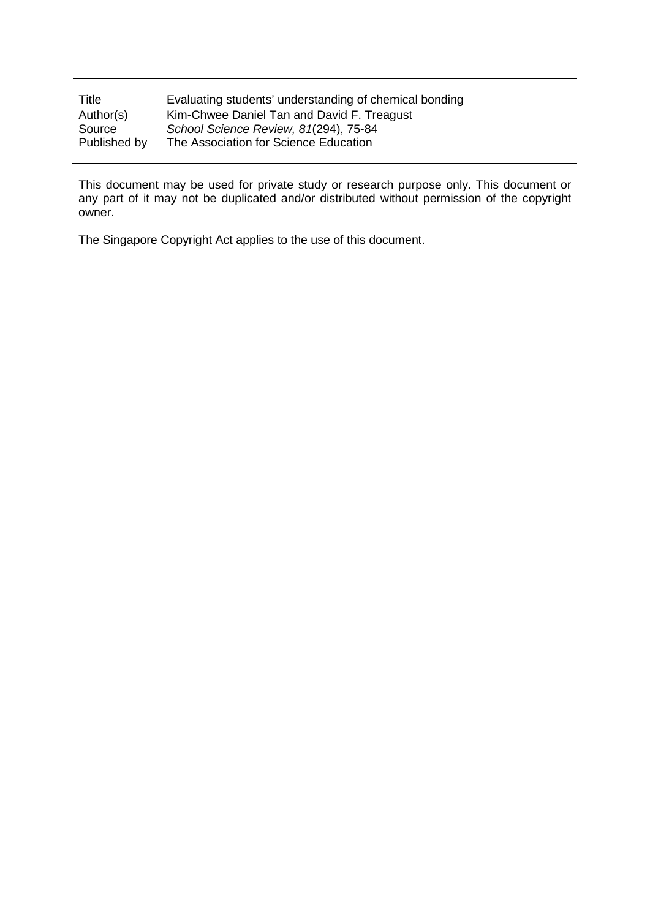| Title        | Evaluating students' understanding of chemical bonding |
|--------------|--------------------------------------------------------|
| Author(s)    | Kim-Chwee Daniel Tan and David F. Treagust             |
| Source       | School Science Review, 81(294), 75-84                  |
| Published by | The Association for Science Education                  |

This document may be used for private study or research purpose only. This document or any part of it may not be duplicated and/or distributed without permission of the copyright owner.

The Singapore Copyright Act applies to the use of this document.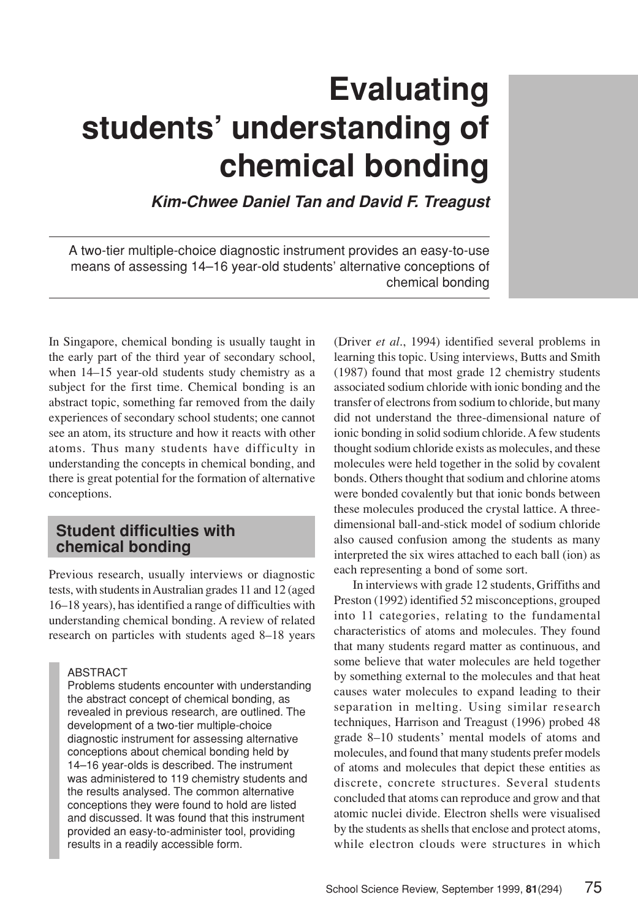# **Evaluating students' understanding of chemical bonding**

*Kim-Chwee Daniel Tan and David F. Treagust*

A two-tier multiple-choice diagnostic instrument provides an easy-to-use means of assessing 14–16 year-old students' alternative conceptions of chemical bonding

In Singapore, chemical bonding is usually taught in the early part of the third year of secondary school, when 14–15 year-old students study chemistry as a subject for the first time. Chemical bonding is an abstract topic, something far removed from the daily experiences of secondary school students; one cannot see an atom, its structure and how it reacts with other atoms. Thus many students have difficulty in understanding the concepts in chemical bonding, and there is great potential for the formation of alternative conceptions.

## **Student difficulties with chemical bonding**

Previous research, usually interviews or diagnostic tests, with students inAustralian grades 11 and 12 (aged 16–18 years), has identified a range of difficulties with understanding chemical bonding. A review of related research on particles with students aged 8–18 years

#### ABSTRACT

Problems students encounter with understanding the abstract concept of chemical bonding, as revealed in previous research, are outlined. The development of a two-tier multiple-choice diagnostic instrument for assessing alternative conceptions about chemical bonding held by 14–16 year-olds is described. The instrument was administered to 119 chemistry students and the results analysed. The common alternative conceptions they were found to hold are listed and discussed. It was found that this instrument provided an easy-to-administer tool, providing results in a readily accessible form.

(Driver *et al*., 1994) identified several problems in learning this topic. Using interviews, Butts and Smith (1987) found that most grade 12 chemistry students associated sodium chloride with ionic bonding and the transfer of electrons from sodium to chloride, but many did not understand the three-dimensional nature of ionic bonding in solid sodium chloride.Afew students thought sodium chloride exists as molecules, and these molecules were held together in the solid by covalent bonds. Others thought that sodium and chlorine atoms were bonded covalently but that ionic bonds between these molecules produced the crystal lattice. A threedimensional ball-and-stick model of sodium chloride also caused confusion among the students as many interpreted the six wires attached to each ball (ion) as each representing a bond of some sort.

In interviews with grade 12 students, Griffiths and Preston (1992) identified 52 misconceptions, grouped into 11 categories, relating to the fundamental characteristics of atoms and molecules. They found that many students regard matter as continuous, and some believe that water molecules are held together by something external to the molecules and that heat causes water molecules to expand leading to their separation in melting. Using similar research techniques, Harrison and Treagust (1996) probed 48 grade 8–10 students' mental models of atoms and molecules, and found that many students prefer models of atoms and molecules that depict these entities as discrete, concrete structures. Several students concluded that atoms can reproduce and grow and that atomic nuclei divide. Electron shells were visualised by the students as shells that enclose and protect atoms, while electron clouds were structures in which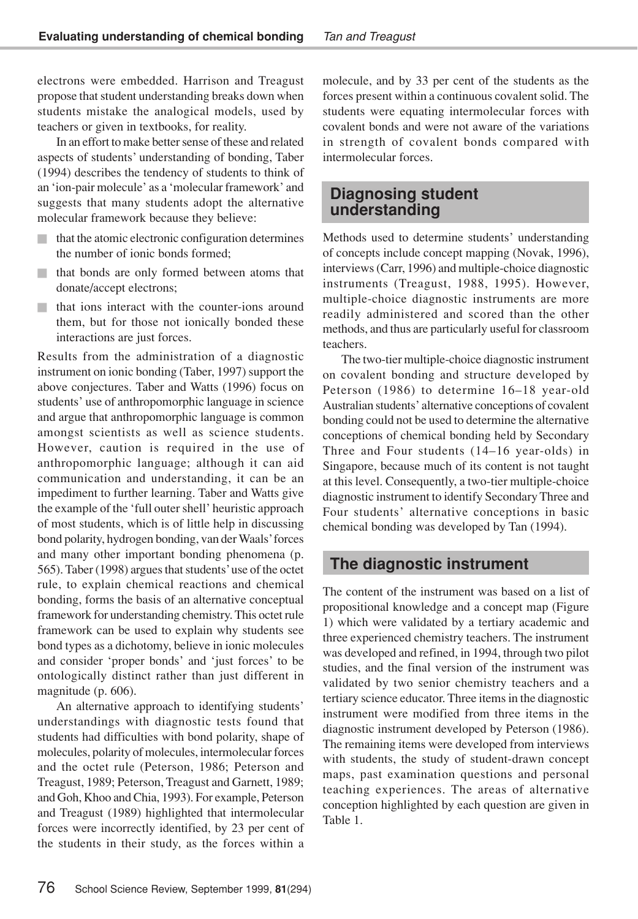electrons were embedded. Harrison and Treagust propose that student understanding breaks down when students mistake the analogical models, used by teachers or given in textbooks, for reality.

In an effort to make better sense of these and related aspects of students' understanding of bonding, Taber (1994) describes the tendency of students to think of an 'ion-pair molecule' as a 'molecular framework' and suggests that many students adopt the alternative molecular framework because they believe:

- that the atomic electronic configuration determines the number of ionic bonds formed;
- that bonds are only formed between atoms that donate/accept electrons;
- that ions interact with the counter-ions around them, but for those not ionically bonded these interactions are just forces.

Results from the administration of a diagnostic instrument on ionic bonding (Taber, 1997) support the above conjectures. Taber and Watts (1996) focus on students' use of anthropomorphic language in science and argue that anthropomorphic language is common amongst scientists as well as science students. However, caution is required in the use of anthropomorphic language; although it can aid communication and understanding, it can be an impediment to further learning. Taber and Watts give the example of the 'full outer shell' heuristic approach of most students, which is of little help in discussing bond polarity, hydrogen bonding, van der Waals'forces and many other important bonding phenomena (p. 565). Taber (1998) argues that students' use of the octet rule, to explain chemical reactions and chemical bonding, forms the basis of an alternative conceptual framework for understanding chemistry.This octet rule framework can be used to explain why students see bond types as a dichotomy, believe in ionic molecules and consider 'proper bonds' and 'just forces' to be ontologically distinct rather than just different in magnitude (p. 606).

An alternative approach to identifying students' understandings with diagnostic tests found that students had difficulties with bond polarity, shape of molecules, polarity of molecules, intermolecular forces and the octet rule (Peterson, 1986; Peterson and Treagust, 1989; Peterson, Treagust and Garnett, 1989; and Goh, Khoo and Chia, 1993). For example, Peterson and Treagust (1989) highlighted that intermolecular forces were incorrectly identified, by 23 per cent of the students in their study, as the forces within a molecule, and by 33 per cent of the students as the forces present within a continuous covalent solid. The students were equating intermolecular forces with covalent bonds and were not aware of the variations in strength of covalent bonds compared with intermolecular forces.

## **Diagnosing student understanding**

Methods used to determine students' understanding of concepts include concept mapping (Novak, 1996), interviews (Carr, 1996) and multiple-choice diagnostic instruments (Treagust, 1988, 1995). However, multiple-choice diagnostic instruments are more readily administered and scored than the other methods, and thus are particularly useful for classroom teachers.

The two-tier multiple-choice diagnostic instrument on covalent bonding and structure developed by Peterson (1986) to determine 16–18 year-old Australian students' alternative conceptions of covalent bonding could not be used to determine the alternative conceptions of chemical bonding held by Secondary Three and Four students (14–16 year-olds) in Singapore, because much of its content is not taught at this level. Consequently, a two-tier multiple-choice diagnostic instrument to identify Secondary Three and Four students' alternative conceptions in basic chemical bonding was developed by Tan (1994).

## **The diagnostic instrument**

The content of the instrument was based on a list of propositional knowledge and a concept map (Figure 1) which were validated by a tertiary academic and three experienced chemistry teachers. The instrument was developed and refined, in 1994, through two pilot studies, and the final version of the instrument was validated by two senior chemistry teachers and a tertiary science educator. Three items in the diagnostic instrument were modified from three items in the diagnostic instrument developed by Peterson (1986). The remaining items were developed from interviews with students, the study of student-drawn concept maps, past examination questions and personal teaching experiences. The areas of alternative conception highlighted by each question are given in Table 1.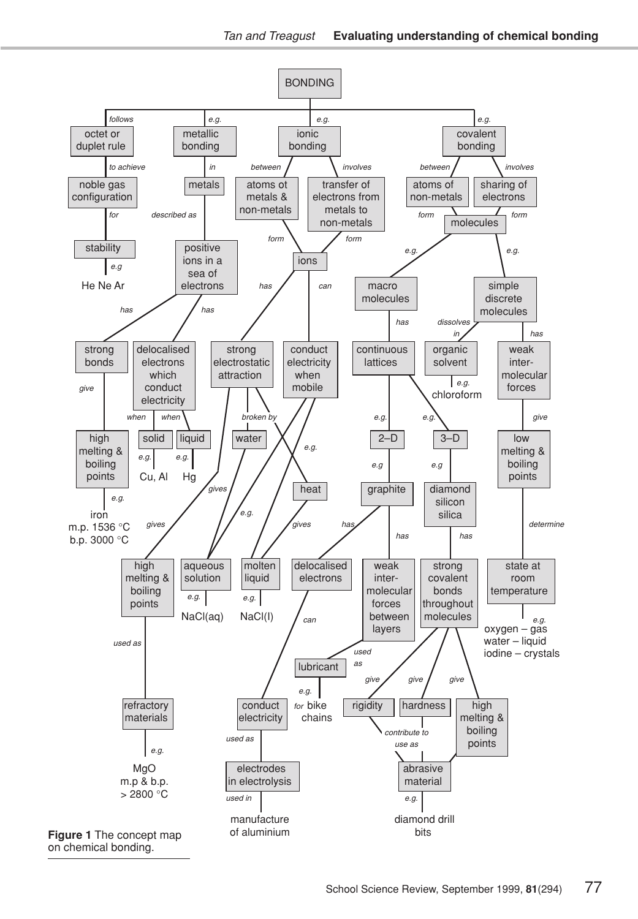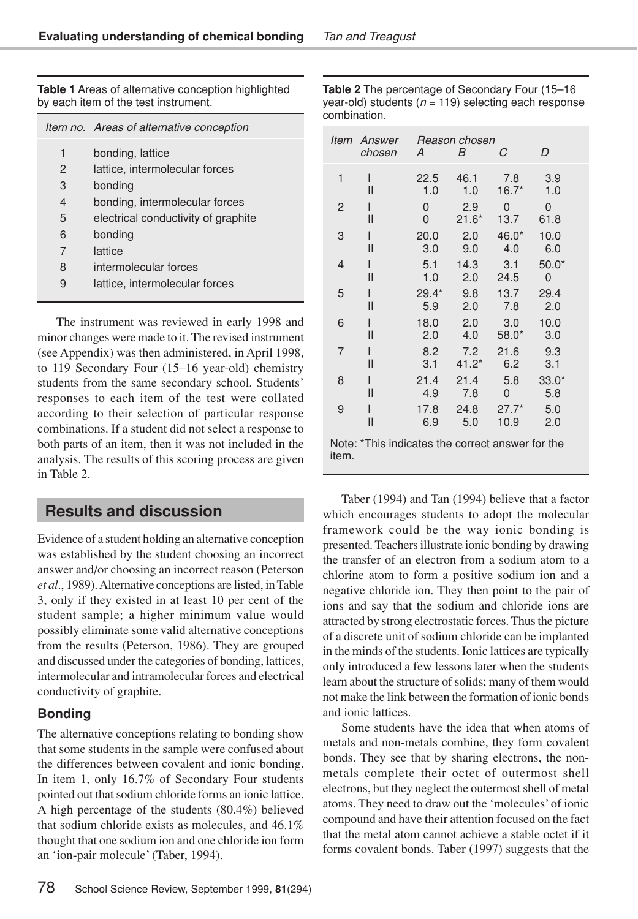**Table 1** Areas of alternative conception highlighted by each item of the test instrument.

|   | Item no. Areas of alternative conception |
|---|------------------------------------------|
| 1 | bonding, lattice                         |
| 2 | lattice, intermolecular forces           |
| 3 | bonding                                  |
| 4 | bonding, intermolecular forces           |
| 5 | electrical conductivity of graphite      |
| 6 | bonding                                  |
| 7 | lattice                                  |
| 8 | intermolecular forces                    |
| 9 | lattice, intermolecular forces           |

The instrument was reviewed in early 1998 and minor changes were made to it. The revised instrument (see Appendix) was then administered, in April 1998, to 119 Secondary Four (15–16 year-old) chemistry students from the same secondary school. Students' responses to each item of the test were collated according to their selection of particular response combinations. If a student did not select a response to both parts of an item, then it was not included in the analysis. The results of this scoring process are given in Table 2.

## **Results and discussion**

Evidence of a student holding an alternative conception was established by the student choosing an incorrect answer and/or choosing an incorrect reason (Peterson *et al*., 1989).Alternative conceptions are listed, inTable 3, only if they existed in at least 10 per cent of the student sample; a higher minimum value would possibly eliminate some valid alternative conceptions from the results (Peterson, 1986). They are grouped and discussed under the categories of bonding, lattices, intermolecular and intramolecular forces and electrical conductivity of graphite.

## **Bonding**

The alternative conceptions relating to bonding show that some students in the sample were confused about the differences between covalent and ionic bonding. In item 1, only 16.7% of Secondary Four students pointed out that sodium chloride forms an ionic lattice. A high percentage of the students (80.4%) believed that sodium chloride exists as molecules, and 46.1% thought that one sodium ion and one chloride ion form an 'ion-pair molecule' (Taber, 1994).

| <b>Table 2</b> The percentage of Secondary Four (15–16   |
|----------------------------------------------------------|
| year-old) students ( $n = 119$ ) selecting each response |
| combination.                                             |

| ltem                                                      | Answer<br>chosen | A       | Reason chosen<br>B | С       | D       |  |  |
|-----------------------------------------------------------|------------------|---------|--------------------|---------|---------|--|--|
| 1                                                         | ı                | 22.5    | 46.1               | 7.8     | 3.9     |  |  |
|                                                           | Ш                | 1.0     | 1.0                | $16.7*$ | 1.0     |  |  |
| $\overline{c}$                                            | ı                | 0       | 2.9                | 0       | 0       |  |  |
|                                                           | Ш                | 0       | $21.6*$            | 13.7    | 61.8    |  |  |
| 3                                                         | ı                | 20.0    | 2.0                | $46.0*$ | 10.0    |  |  |
|                                                           | Ш                | 3.0     | 9.0                | 4.0     | 6.0     |  |  |
| 4                                                         | ı                | 5.1     | 14.3               | 3.1     | $50.0*$ |  |  |
|                                                           | Ш                | 1.0     | 2.0                | 24.5    | 0       |  |  |
| 5                                                         | ı                | $29.4*$ | 9.8                | 13.7    | 29.4    |  |  |
|                                                           | Ш                | 5.9     | 2.0                | 7.8     | 2.0     |  |  |
| 6                                                         | I                | 18.0    | 2.0                | 3.0     | 10.0    |  |  |
|                                                           | Ш                | 2.0     | 4.0                | $58.0*$ | 3.0     |  |  |
| 7                                                         | I                | 8.2     | 7.2                | 21.6    | 9.3     |  |  |
|                                                           | Ш                | 3.1     | $41.2*$            | 6.2     | 3.1     |  |  |
| 8                                                         | ı                | 21.4    | 21.4               | 5.8     | $33.0*$ |  |  |
|                                                           | Ш                | 4.9     | 7.8                | 0       | 5.8     |  |  |
| 9                                                         | ı                | 17.8    | 24.8               | $27.7*$ | 5.0     |  |  |
|                                                           | $\mathsf{II}$    | 6.9     | 5.0                | 10.9    | 2.0     |  |  |
| Note: *This indicates the correct answer for the<br>item. |                  |         |                    |         |         |  |  |

Taber (1994) and Tan (1994) believe that a factor which encourages students to adopt the molecular framework could be the way ionic bonding is presented.Teachers illustrate ionic bonding by drawing the transfer of an electron from a sodium atom to a chlorine atom to form a positive sodium ion and a negative chloride ion. They then point to the pair of ions and say that the sodium and chloride ions are attracted by strong electrostatic forces.Thus the picture of a discrete unit of sodium chloride can be implanted in the minds of the students. Ionic lattices are typically only introduced a few lessons later when the students learn about the structure of solids; many of them would not make the link between the formation of ionic bonds and ionic lattices.

Some students have the idea that when atoms of metals and non-metals combine, they form covalent bonds. They see that by sharing electrons, the nonmetals complete their octet of outermost shell electrons, but they neglect the outermost shell of metal atoms. They need to draw out the 'molecules' of ionic compound and have their attention focused on the fact that the metal atom cannot achieve a stable octet if it forms covalent bonds. Taber (1997) suggests that the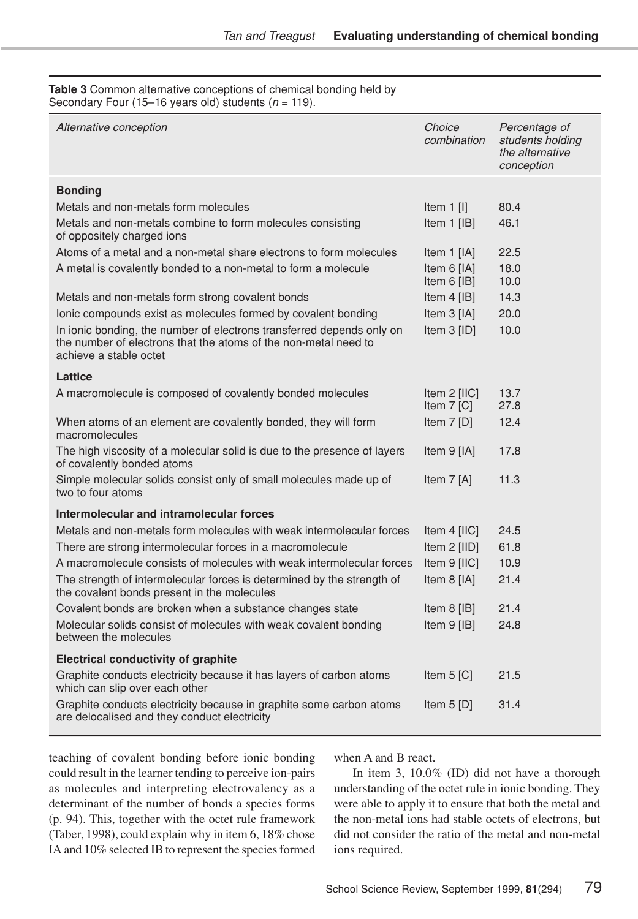**Table 3** Common alternative conceptions of chemical bonding held by Secondary Four (15–16 years old) students (*n* = 119).

| Alternative conception                                                                                                                                             | Choice<br>combination        | Percentage of<br>students holding<br>the alternative<br>conception |
|--------------------------------------------------------------------------------------------------------------------------------------------------------------------|------------------------------|--------------------------------------------------------------------|
| <b>Bonding</b>                                                                                                                                                     |                              |                                                                    |
| Metals and non-metals form molecules                                                                                                                               | Item $1$ [I]                 | 80.4                                                               |
| Metals and non-metals combine to form molecules consisting<br>of oppositely charged ions                                                                           | Item $1$ [IB]                | 46.1                                                               |
| Atoms of a metal and a non-metal share electrons to form molecules                                                                                                 | Item $1$ [IA]                | 22.5                                                               |
| A metal is covalently bonded to a non-metal to form a molecule                                                                                                     | Item 6 [IA]<br>Item $6$ [IB] | 18.0<br>10.0                                                       |
| Metals and non-metals form strong covalent bonds                                                                                                                   | Item $4$ [IB]                | 14.3                                                               |
| lonic compounds exist as molecules formed by covalent bonding                                                                                                      | Item $3$ [IA]                | 20.0                                                               |
| In ionic bonding, the number of electrons transferred depends only on<br>the number of electrons that the atoms of the non-metal need to<br>achieve a stable octet | Item 3 [ID]                  | 10.0                                                               |
| Lattice                                                                                                                                                            |                              |                                                                    |
| A macromolecule is composed of covalently bonded molecules                                                                                                         | Item 2 [IIC]<br>Item $7$ [C] | 13.7<br>27.8                                                       |
| When atoms of an element are covalently bonded, they will form<br>macromolecules                                                                                   | Item $7$ [D]                 | 12.4                                                               |
| The high viscosity of a molecular solid is due to the presence of layers<br>of covalently bonded atoms                                                             | Item 9 [IA]                  | 17.8                                                               |
| Simple molecular solids consist only of small molecules made up of<br>two to four atoms                                                                            | Item $7$ [A]                 | 11.3                                                               |
| Intermolecular and intramolecular forces                                                                                                                           |                              |                                                                    |
| Metals and non-metals form molecules with weak intermolecular forces                                                                                               | Item $4$ [IIC]               | 24.5                                                               |
| There are strong intermolecular forces in a macromolecule                                                                                                          | Item 2 [IID]                 | 61.8                                                               |
| A macromolecule consists of molecules with weak intermolecular forces                                                                                              | Item 9 [IIC]                 | 10.9                                                               |
| The strength of intermolecular forces is determined by the strength of<br>the covalent bonds present in the molecules                                              | Item 8 [IA]                  | 21.4                                                               |
| Covalent bonds are broken when a substance changes state                                                                                                           | Item $8$ [IB]                | 21.4                                                               |
| Molecular solids consist of molecules with weak covalent bonding<br>between the molecules                                                                          | Item 9 [IB]                  | 24.8                                                               |
| <b>Electrical conductivity of graphite</b>                                                                                                                         |                              |                                                                    |
| Graphite conducts electricity because it has layers of carbon atoms<br>which can slip over each other                                                              | Item $5$ [C]                 | 21.5                                                               |
| Graphite conducts electricity because in graphite some carbon atoms<br>are delocalised and they conduct electricity                                                | Item $5$ [D]                 | 31.4                                                               |

teaching of covalent bonding before ionic bonding could result in the learner tending to perceive ion-pairs as molecules and interpreting electrovalency as a determinant of the number of bonds a species forms (p. 94). This, together with the octet rule framework (Taber, 1998), could explain why in item 6, 18% chose IA and 10% selected IB to represent the species formed

when A and B react.

In item 3, 10.0% (ID) did not have a thorough understanding of the octet rule in ionic bonding. They were able to apply it to ensure that both the metal and the non-metal ions had stable octets of electrons, but did not consider the ratio of the metal and non-metal ions required.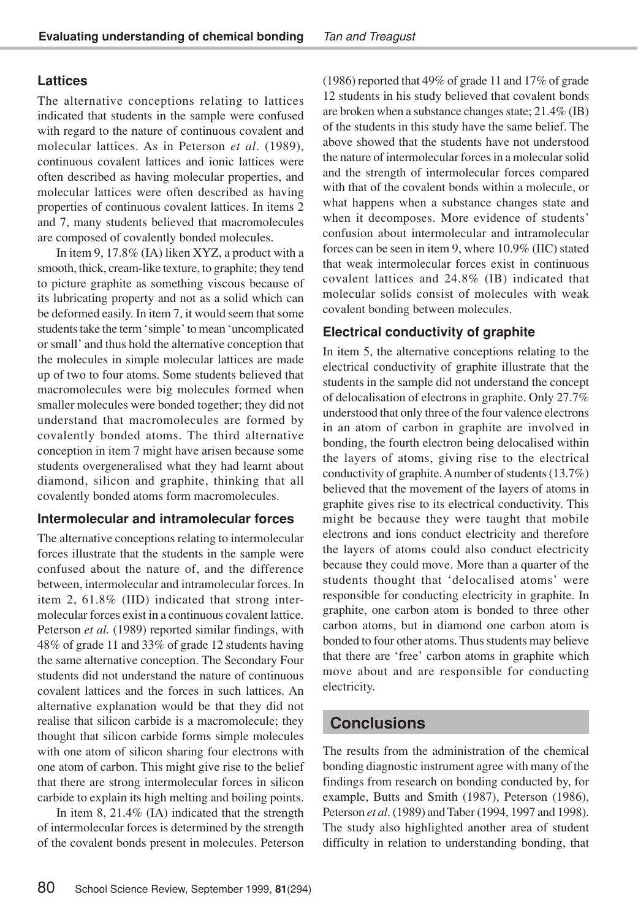## **Lattices**

The alternative conceptions relating to lattices indicated that students in the sample were confused with regard to the nature of continuous covalent and molecular lattices. As in Peterson *et al*. (1989), continuous covalent lattices and ionic lattices were often described as having molecular properties, and molecular lattices were often described as having properties of continuous covalent lattices. In items 2 and 7, many students believed that macromolecules are composed of covalently bonded molecules.

In item 9, 17.8% (IA) liken XYZ, a product with a smooth, thick, cream-like texture, to graphite; they tend to picture graphite as something viscous because of its lubricating property and not as a solid which can be deformed easily. In item 7, it would seem that some students take the term 'simple' to mean 'uncomplicated or small' and thus hold the alternative conception that the molecules in simple molecular lattices are made up of two to four atoms. Some students believed that macromolecules were big molecules formed when smaller molecules were bonded together; they did not understand that macromolecules are formed by covalently bonded atoms. The third alternative conception in item 7 might have arisen because some students overgeneralised what they had learnt about diamond, silicon and graphite, thinking that all covalently bonded atoms form macromolecules.

### **Intermolecular and intramolecular forces**

The alternative conceptions relating to intermolecular forces illustrate that the students in the sample were confused about the nature of, and the difference between, intermolecular and intramolecular forces. In item 2, 61.8% (IID) indicated that strong intermolecular forces exist in a continuous covalent lattice. Peterson *et al.* (1989) reported similar findings, with 48% of grade 11 and 33% of grade 12 students having the same alternative conception. The Secondary Four students did not understand the nature of continuous covalent lattices and the forces in such lattices. An alternative explanation would be that they did not realise that silicon carbide is a macromolecule; they thought that silicon carbide forms simple molecules with one atom of silicon sharing four electrons with one atom of carbon. This might give rise to the belief that there are strong intermolecular forces in silicon carbide to explain its high melting and boiling points.

In item 8, 21.4% (IA) indicated that the strength of intermolecular forces is determined by the strength of the covalent bonds present in molecules. Peterson (1986) reported that 49% of grade 11 and 17% of grade 12 students in his study believed that covalent bonds are broken when a substance changes state; 21.4% (IB) of the students in this study have the same belief. The above showed that the students have not understood the nature of intermolecular forces in a molecular solid and the strength of intermolecular forces compared with that of the covalent bonds within a molecule, or what happens when a substance changes state and when it decomposes. More evidence of students' confusion about intermolecular and intramolecular forces can be seen in item 9, where 10.9% (IIC) stated that weak intermolecular forces exist in continuous covalent lattices and 24.8% (IB) indicated that molecular solids consist of molecules with weak covalent bonding between molecules.

## **Electrical conductivity of graphite**

In item 5, the alternative conceptions relating to the electrical conductivity of graphite illustrate that the students in the sample did not understand the concept of delocalisation of electrons in graphite. Only 27.7% understood that only three of the four valence electrons in an atom of carbon in graphite are involved in bonding, the fourth electron being delocalised within the layers of atoms, giving rise to the electrical conductivity of graphite.Anumber of students (13.7%) believed that the movement of the layers of atoms in graphite gives rise to its electrical conductivity. This might be because they were taught that mobile electrons and ions conduct electricity and therefore the layers of atoms could also conduct electricity because they could move. More than a quarter of the students thought that 'delocalised atoms' were responsible for conducting electricity in graphite. In graphite, one carbon atom is bonded to three other carbon atoms, but in diamond one carbon atom is bonded to four other atoms. Thus students may believe that there are 'free' carbon atoms in graphite which move about and are responsible for conducting electricity.

## **Conclusions**

The results from the administration of the chemical bonding diagnostic instrument agree with many of the findings from research on bonding conducted by, for example, Butts and Smith (1987), Peterson (1986), Peterson *et al*.(1989) andTaber (1994, 1997 and 1998). The study also highlighted another area of student difficulty in relation to understanding bonding, that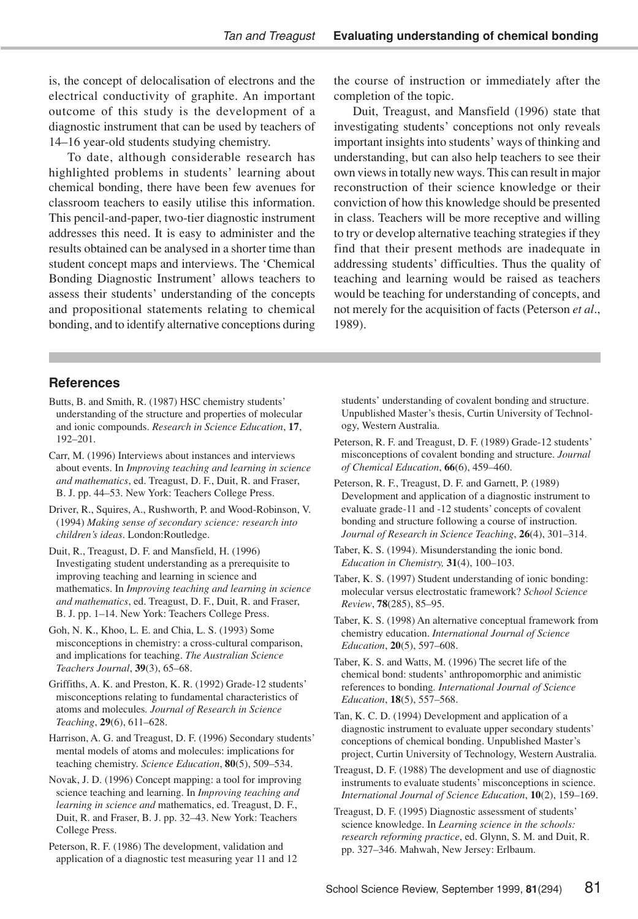is, the concept of delocalisation of electrons and the electrical conductivity of graphite. An important outcome of this study is the development of a diagnostic instrument that can be used by teachers of 14–16 year-old students studying chemistry.

To date, although considerable research has highlighted problems in students' learning about chemical bonding, there have been few avenues for classroom teachers to easily utilise this information. This pencil-and-paper, two-tier diagnostic instrument addresses this need. It is easy to administer and the results obtained can be analysed in a shorter time than student concept maps and interviews. The 'Chemical Bonding Diagnostic Instrument' allows teachers to assess their students' understanding of the concepts and propositional statements relating to chemical bonding, and to identify alternative conceptions during the course of instruction or immediately after the completion of the topic.

Duit, Treagust, and Mansfield (1996) state that investigating students' conceptions not only reveals important insights into students' ways of thinking and understanding, but can also help teachers to see their own views in totally new ways.This can result in major reconstruction of their science knowledge or their conviction of how this knowledge should be presented in class. Teachers will be more receptive and willing to try or develop alternative teaching strategies if they find that their present methods are inadequate in addressing students' difficulties. Thus the quality of teaching and learning would be raised as teachers would be teaching for understanding of concepts, and not merely for the acquisition of facts (Peterson *et al*., 1989).

#### **References**

- Butts, B. and Smith, R. (1987) HSC chemistry students' understanding of the structure and properties of molecular and ionic compounds. *Research in Science Education*, **17**, 192–201.
- Carr, M. (1996) Interviews about instances and interviews about events. In *Improving teaching and learning in science and mathematics*, ed. Treagust, D. F., Duit, R. and Fraser, B. J. pp. 44–53. New York: Teachers College Press.
- Driver, R., Squires, A., Rushworth, P. and Wood-Robinson, V. (1994) *Making sense of secondary science: research into children's ideas*. London:Routledge.
- Duit, R., Treagust, D. F. and Mansfield, H. (1996) Investigating student understanding as a prerequisite to improving teaching and learning in science and mathematics. In *Improving teaching and learning in science and mathematics*, ed. Treagust, D. F., Duit, R. and Fraser, B. J. pp. 1–14. New York: Teachers College Press.
- Goh, N. K., Khoo, L. E. and Chia, L. S. (1993) Some misconceptions in chemistry: a cross-cultural comparison, and implications for teaching. *The Australian Science Teachers Journal*, **39**(3), 65–68.
- Griffiths, A. K. and Preston, K. R. (1992) Grade-12 students' misconceptions relating to fundamental characteristics of atoms and molecules*. Journal of Research in Science Teaching*, **29**(6), 611–628.
- Harrison, A. G. and Treagust, D. F. (1996) Secondary students' mental models of atoms and molecules: implications for teaching chemistry. *Science Education*, **80**(5), 509–534.
- Novak, J. D. (1996) Concept mapping: a tool for improving science teaching and learning. In *Improving teaching and learning in science and* mathematics, ed. Treagust, D. F., Duit, R. and Fraser, B. J. pp. 32–43. New York: Teachers College Press.
- Peterson, R. F. (1986) The development, validation and application of a diagnostic test measuring year 11 and 12

students' understanding of covalent bonding and structure. Unpublished Master's thesis, Curtin University of Technology, Western Australia.

- Peterson, R. F. and Treagust, D. F. (1989) Grade-12 students' misconceptions of covalent bonding and structure. *Journal of Chemical Education*, **66**(6), 459–460.
- Peterson, R. F., Treagust, D. F. and Garnett, P. (1989) Development and application of a diagnostic instrument to evaluate grade-11 and -12 students' concepts of covalent bonding and structure following a course of instruction. *Journal of Research in Science Teaching*, **26**(4), 301–314.
- Taber, K. S. (1994). Misunderstanding the ionic bond. *Education in Chemistry,* **31**(4), 100–103.
- Taber, K. S. (1997) Student understanding of ionic bonding: molecular versus electrostatic framework? *School Science Review*, **78**(285), 85–95.
- Taber, K. S. (1998) An alternative conceptual framework from chemistry education. *International Journal of Science Education*, **20**(5), 597–608.
- Taber, K. S. and Watts, M. (1996) The secret life of the chemical bond: students' anthropomorphic and animistic references to bonding*. International Journal of Science Education*, **18**(5), 557–568.
- Tan, K. C. D. (1994) Development and application of a diagnostic instrument to evaluate upper secondary students' conceptions of chemical bonding. Unpublished Master's project, Curtin University of Technology, Western Australia.
- Treagust, D. F. (1988) The development and use of diagnostic instruments to evaluate students' misconceptions in science. *International Journal of Science Education*, **10**(2), 159–169.
- Treagust, D. F. (1995) Diagnostic assessment of students' science knowledge. In *Learning science in the schools: research reforming practice*, ed. Glynn, S. M. and Duit, R. pp. 327–346. Mahwah, New Jersey: Erlbaum.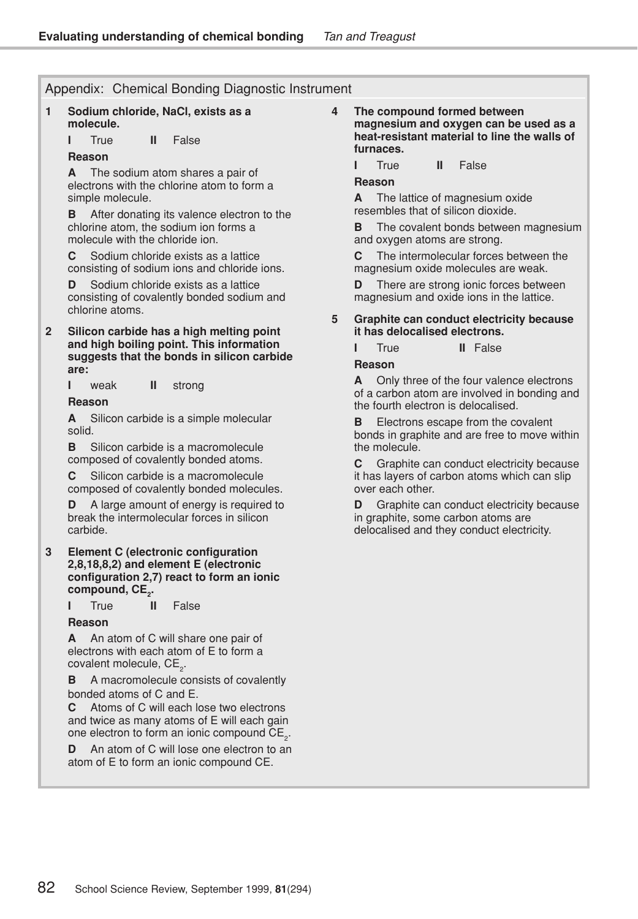#### Appendix: Chemical Bonding Diagnostic Instrument

#### **1 Sodium chloride, NaCl, exists as a molecule.**

**I** True **II** False

#### **Reason**

**A** The sodium atom shares a pair of electrons with the chlorine atom to form a simple molecule.

**B** After donating its valence electron to the chlorine atom, the sodium ion forms a molecule with the chloride ion.

**C** Sodium chloride exists as a lattice consisting of sodium ions and chloride ions.

**D** Sodium chloride exists as a lattice consisting of covalently bonded sodium and chlorine atoms.

**2 Silicon carbide has a high melting point and high boiling point. This information suggests that the bonds in silicon carbide are:**

**I** weak **II** strong

**Reason**

**A** Silicon carbide is a simple molecular solid.

**B** Silicon carbide is a macromolecule composed of covalently bonded atoms.

**C** Silicon carbide is a macromolecule composed of covalently bonded molecules.

A large amount of energy is required to break the intermolecular forces in silicon carbide.

#### **3 Element C (electronic configuration 2,8,18,8,2) and element E (electronic configuration 2,7) react to form an ionic compound, CE<sup>2</sup> .**

**I** True **II** False

#### **Reason**

**A** An atom of C will share one pair of electrons with each atom of E to form a covalent molecule,  $CE_{2}$ .

**B** A macromolecule consists of covalently bonded atoms of C and E.

**C** Atoms of C will each lose two electrons and twice as many atoms of E will each gain one electron to form an ionic compound  $\mathsf{CE}_2$ .

**D** An atom of C will lose one electron to an atom of E to form an ionic compound CE.

**4 The compound formed between magnesium and oxygen can be used as a heat-resistant material to line the walls of furnaces.**

**I** True **II** False

#### **Reason**

**A** The lattice of magnesium oxide resembles that of silicon dioxide.

**B** The covalent bonds between magnesium and oxygen atoms are strong.

**C** The intermolecular forces between the magnesium oxide molecules are weak.

**D** There are strong ionic forces between magnesium and oxide ions in the lattice.

#### **5 Graphite can conduct electricity because it has delocalised electrons.**

**I** True **II** False

**Reason**

**A** Only three of the four valence electrons of a carbon atom are involved in bonding and the fourth electron is delocalised.

**B** Electrons escape from the covalent bonds in graphite and are free to move within the molecule.

**C** Graphite can conduct electricity because it has layers of carbon atoms which can slip over each other.

Graphite can conduct electricity because in graphite, some carbon atoms are delocalised and they conduct electricity.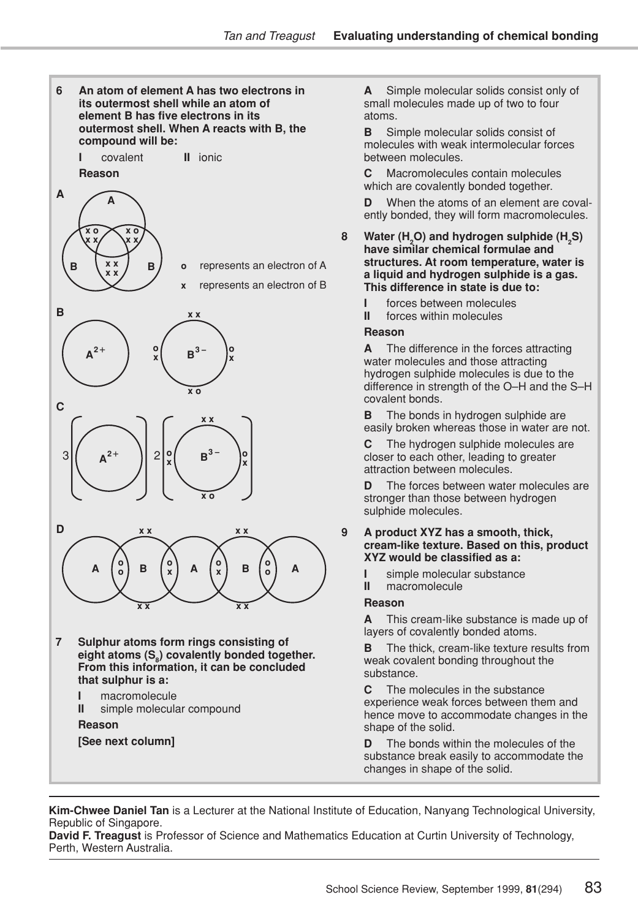

**Reason [See next column]** **A** Simple molecular solids consist only of small molecules made up of two to four atoms.

**B** Simple molecular solids consist of molecules with weak intermolecular forces between molecules.

**C** Macromolecules contain molecules which are covalently bonded together.

**D** When the atoms of an element are covalently bonded, they will form macromolecules.

- **8 Water (H2O) and hydrogen sulphide (H<sup>2</sup> S) have similar chemical formulae and structures. At room temperature, water is a liquid and hydrogen sulphide is a gas. This difference in state is due to:**
	-
	- **I** forces between molecules<br>**II** forces within molecules forces within molecules

#### **Reason**

**A** The difference in the forces attracting water molecules and those attracting hydrogen sulphide molecules is due to the difference in strength of the O–H and the S–H covalent bonds.

**B** The bonds in hydrogen sulphide are easily broken whereas those in water are not.

**C** The hydrogen sulphide molecules are closer to each other, leading to greater attraction between molecules.

**D** The forces between water molecules are stronger than those between hydrogen sulphide molecules.

#### **9 A product XYZ has a smooth, thick, cream-like texture. Based on this, product XYZ would be classified as a:**

- **I** simple molecular substance<br>**II** macromolecule
	- **II** macromolecule

#### **Reason**

**A** This cream-like substance is made up of layers of covalently bonded atoms.

**B** The thick, cream-like texture results from weak covalent bonding throughout the substance.

**C** The molecules in the substance experience weak forces between them and hence move to accommodate changes in the shape of the solid.

**D** The bonds within the molecules of the substance break easily to accommodate the changes in shape of the solid.

**Kim-Chwee Daniel Tan** is a Lecturer at the National Institute of Education, Nanyang Technological University, Republic of Singapore.

**David F. Treagust** is Professor of Science and Mathematics Education at Curtin University of Technology, Perth, Western Australia.